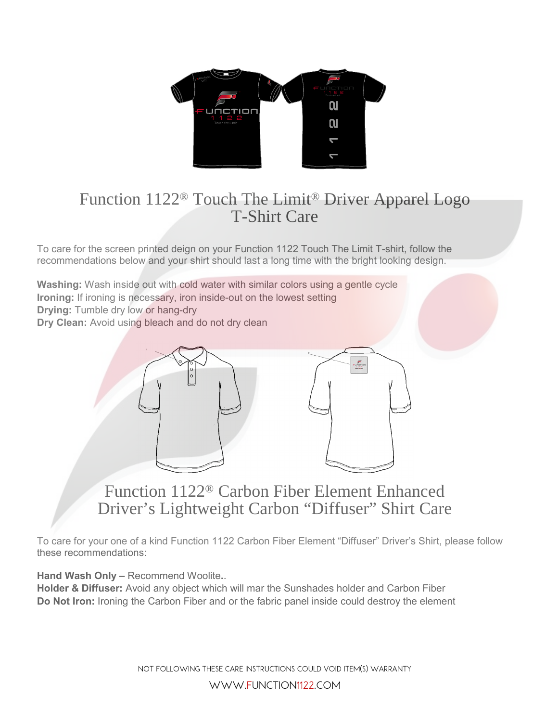

## Function 1122® Touch The Limit® Driver Apparel Logo T-Shirt Care

To care for the screen printed deign on your Function 1122 Touch The Limit T-shirt, follow the recommendations below and your shirt should last a long time with the bright looking design.

**Washing:** Wash inside out with cold water with similar colors using a gentle cycle **Ironing:** If ironing is necessary, iron inside-out on the lowest setting **Drying:** Tumble dry low or hang-dry **Dry Clean:** Avoid using bleach and do not dry clean



## Function 1122® Carbon Fiber Element Enhanced Driver's Lightweight Carbon "Diffuser" Shirt Care

To care for your one of a kind Function 1122 Carbon Fiber Element "Diffuser" Driver's Shirt, please follow these recommendations:

**Hand Wash Only –** Recommend Woolite**.**.

**Holder & Diffuser:** Avoid any object which will mar the Sunshades holder and Carbon Fiber **Do Not Iron:** Ironing the Carbon Fiber and or the fabric panel inside could destroy the element

> Not following these Care instructions could void item(s) warranty www.function1122.com